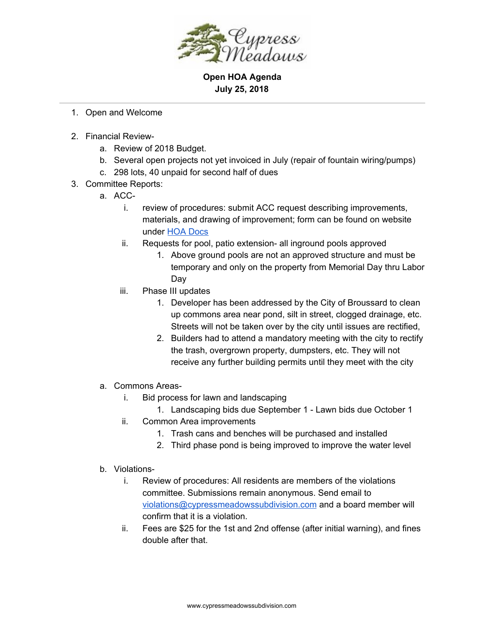

**Open HOA Agenda July 25, 2018**

- 1. Open and Welcome
- 2. Financial Review
	- a. Review of 2018 Budget.
	- b. Several open projects not yet invoiced in July (repair of fountain wiring/pumps)
	- c. 298 lots, 40 unpaid for second half of dues
- 3. Committee Reports:
	- a. ACC
		- i. review of procedures: submit ACC request describing improvements, materials, and drawing of improvement; form can be found on website under HOA [Docs](http://www.cypressmeadowssubdivision.com/hoa-docs/)
		- ii. Requests for pool, patio extension- all inground pools approved
			- 1. Above ground pools are not an approved structure and must be temporary and only on the property from Memorial Day thru Labor Day
		- iii. Phase III updates
			- 1. Developer has been addressed by the City of Broussard to clean up commons area near pond, silt in street, clogged drainage, etc. Streets will not be taken over by the city until issues are rectified,
			- 2. Builders had to attend a mandatory meeting with the city to rectify the trash, overgrown property, dumpsters, etc. They will not receive any further building permits until they meet with the city
	- a. Commons Areas
		- i. Bid process for lawn and landscaping
			- 1. Landscaping bids due September 1 Lawn bids due October 1
		- ii. Common Area improvements
			- 1. Trash cans and benches will be purchased and installed
			- 2. Third phase pond is being improved to improve the water level
	- b. Violations
		- i. Review of procedures: All residents are members of the violations committee. Submissions remain anonymous. Send email to [violations@cypressmeadowssubdivision.com](mailto:violations@cypressmeadowssubdivision.com) and a board member will confirm that it is a violation.
		- ii. Fees are \$25 for the 1st and 2nd offense (after initial warning), and fines double after that.